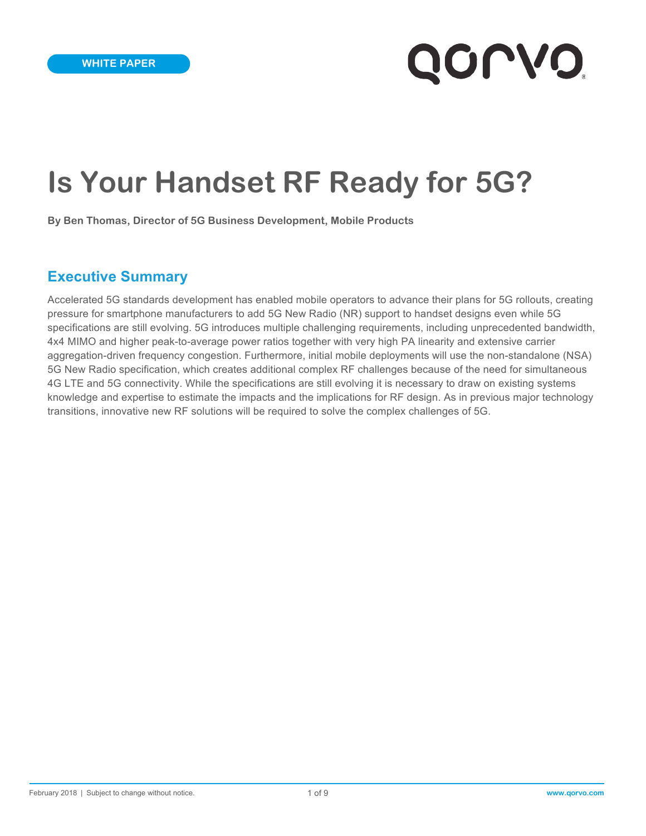# **Is Your Handset RF Ready for 5G?**

**By Ben Thomas, Director of 5G Business Development, Mobile Products**

## **Executive Summary**

Accelerated 5G standards development has enabled mobile operators to advance their plans for 5G rollouts, creating pressure for smartphone manufacturers to add 5G New Radio (NR) support to handset designs even while 5G specifications are still evolving. 5G introduces multiple challenging requirements, including unprecedented bandwidth, 4x4 MIMO and higher peak-to-average power ratios together with very high PA linearity and extensive carrier aggregation-driven frequency congestion. Furthermore, initial mobile deployments will use the non-standalone (NSA) 5G New Radio specification, which creates additional complex RF challenges because of the need for simultaneous 4G LTE and 5G connectivity. While the specifications are still evolving it is necessary to draw on existing systems knowledge and expertise to estimate the impacts and the implications for RF design. As in previous major technology transitions, innovative new RF solutions will be required to solve the complex challenges of 5G.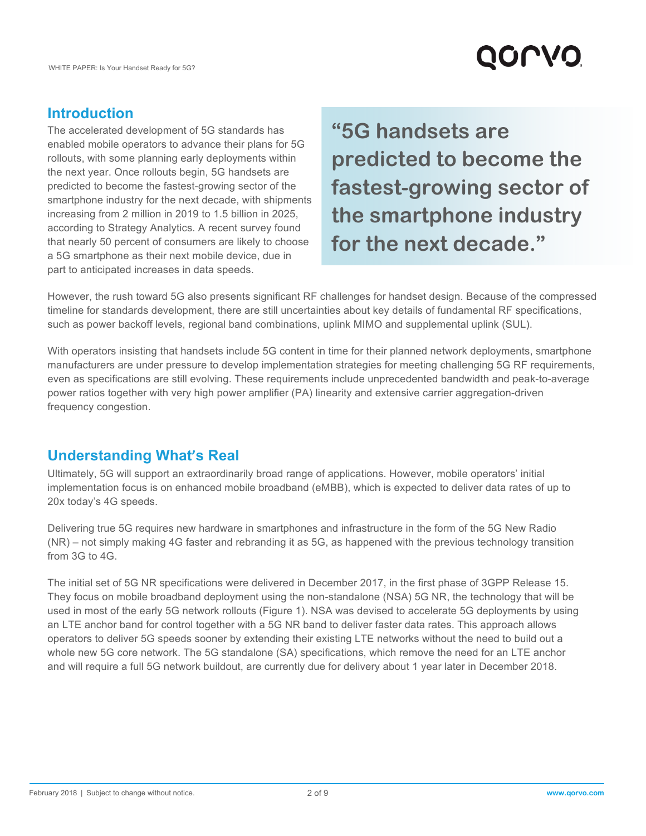# QOLVO

# **Introduction**

The accelerated development of 5G standards has enabled mobile operators to advance their plans for 5G rollouts, with some planning early deployments within the next year. Once rollouts begin, 5G handsets are predicted to become the fastest-growing sector of the smartphone industry for the next decade, with shipments increasing from 2 million in 2019 to 1.5 billion in 2025, according to Strategy Analytics. A recent survey found that nearly 50 percent of consumers are likely to choose a 5G smartphone as their next mobile device, due in part to anticipated increases in data speeds.

**"5G handsets are predicted to become the fastest-growing sector of the smartphone industry for the next decade."**

However, the rush toward 5G also presents significant RF challenges for handset design. Because of the compressed timeline for standards development, there are still uncertainties about key details of fundamental RF specifications, such as power backoff levels, regional band combinations, uplink MIMO and supplemental uplink (SUL).

With operators insisting that handsets include 5G content in time for their planned network deployments, smartphone manufacturers are under pressure to develop implementation strategies for meeting challenging 5G RF requirements, even as specifications are still evolving. These requirements include unprecedented bandwidth and peak-to-average power ratios together with very high power amplifier (PA) linearity and extensive carrier aggregation-driven frequency congestion.

# **Understanding What's Real**

Ultimately, 5G will support an extraordinarily broad range of applications. However, mobile operators' initial implementation focus is on enhanced mobile broadband (eMBB), which is expected to deliver data rates of up to 20x today's 4G speeds.

Delivering true 5G requires new hardware in smartphones and infrastructure in the form of the 5G New Radio (NR) – not simply making 4G faster and rebranding it as 5G, as happened with the previous technology transition from 3G to 4G.

The initial set of 5G NR specifications were delivered in December 2017, in the first phase of 3GPP Release 15. They focus on mobile broadband deployment using the non-standalone (NSA) 5G NR, the technology that will be used in most of the early 5G network rollouts (Figure 1). NSA was devised to accelerate 5G deployments by using an LTE anchor band for control together with a 5G NR band to deliver faster data rates. This approach allows operators to deliver 5G speeds sooner by extending their existing LTE networks without the need to build out a whole new 5G core network. The 5G standalone (SA) specifications, which remove the need for an LTE anchor and will require a full 5G network buildout, are currently due for delivery about 1 year later in December 2018.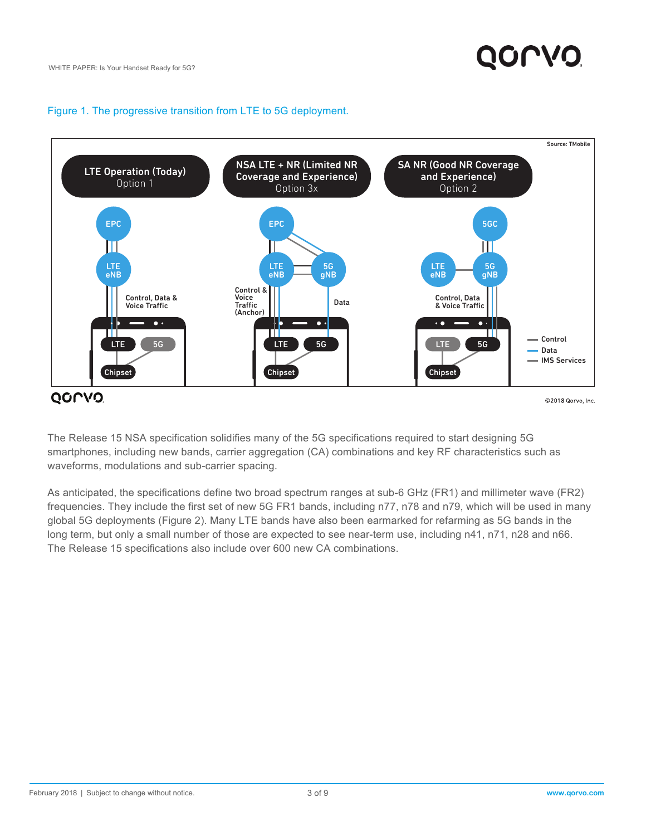#### Figure 1. The progressive transition from LTE to 5G deployment.



The Release 15 NSA specification solidifies many of the 5G specifications required to start designing 5G smartphones, including new bands, carrier aggregation (CA) combinations and key RF characteristics such as waveforms, modulations and sub-carrier spacing.

As anticipated, the specifications define two broad spectrum ranges at sub-6 GHz (FR1) and millimeter wave (FR2) frequencies. They include the first set of new 5G FR1 bands, including n77, n78 and n79, which will be used in many global 5G deployments (Figure 2). Many LTE bands have also been earmarked for refarming as 5G bands in the long term, but only a small number of those are expected to see near-term use, including n41, n71, n28 and n66. The Release 15 specifications also include over 600 new CA combinations.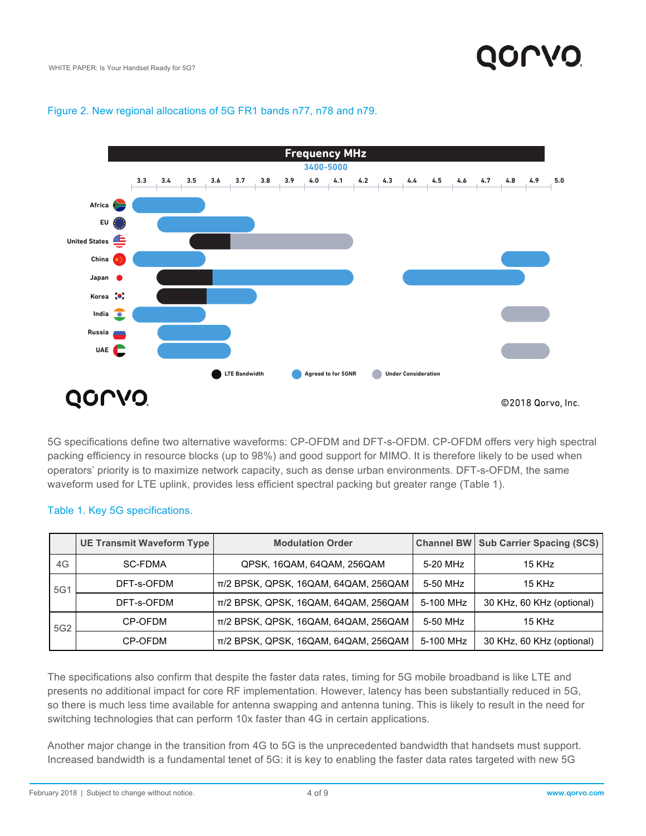

#### Figure 2. New regional allocations of 5G FR1 bands n77, n78 and n79.

5G specifications define two alternative waveforms: CP-OFDM and DFT-s-OFDM. CP-OFDM offers very high spectral packing efficiency in resource blocks (up to 98%) and good support for MIMO. It is therefore likely to be used when operators' priority is to maximize network capacity, such as dense urban environments. DFT-s-OFDM, the same waveform used for LTE uplink, provides less efficient spectral packing but greater range (Table 1).

|                 | <b>UE Transmit Waveform Type</b> | <b>Modulation Order</b>              |           | <b>Channel BW Sub Carrier Spacing (SCS)</b> |
|-----------------|----------------------------------|--------------------------------------|-----------|---------------------------------------------|
| 4G              | SC-FDMA                          | QPSK, 16QAM, 64QAM, 256QAM           | 5-20 MHz  | 15 KHz                                      |
| 5G1             | DFT-s-OFDM                       | π/2 BPSK, QPSK, 16QAM, 64QAM, 256QAM | 5-50 MHz  | 15 KHz                                      |
|                 | DFT-s-OFDM                       | π/2 BPSK, QPSK, 16QAM, 64QAM, 256QAM | 5-100 MHz | 30 KHz, 60 KHz (optional)                   |
| 5G <sub>2</sub> | CP-OFDM                          | π/2 BPSK, QPSK, 16QAM, 64QAM, 256QAM | 5-50 MHz  | 15 KHz                                      |
|                 | CP-OFDM                          | π/2 BPSK, QPSK, 16QAM, 64QAM, 256QAM | 5-100 MHz | 30 KHz, 60 KHz (optional)                   |

#### Table 1. Key 5G specifications.

The specifications also confirm that despite the faster data rates, timing for 5G mobile broadband is like LTE and presents no additional impact for core RF implementation. However, latency has been substantially reduced in 5G, so there is much less time available for antenna swapping and antenna tuning. This is likely to result in the need for switching technologies that can perform 10x faster than 4G in certain applications.

Another major change in the transition from 4G to 5G is the unprecedented bandwidth that handsets must support. Increased bandwidth is a fundamental tenet of 5G: it is key to enabling the faster data rates targeted with new 5G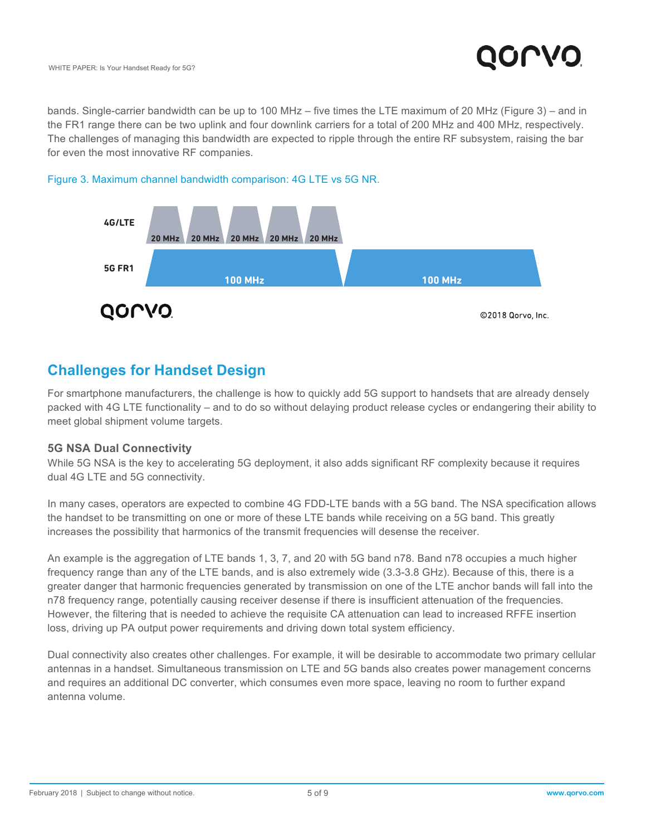bands. Single-carrier bandwidth can be up to 100 MHz – five times the LTE maximum of 20 MHz (Figure 3) – and in the FR1 range there can be two uplink and four downlink carriers for a total of 200 MHz and 400 MHz, respectively. The challenges of managing this bandwidth are expected to ripple through the entire RF subsystem, raising the bar for even the most innovative RF companies.



#### Figure 3. Maximum channel bandwidth comparison: 4G LTE vs 5G NR.

# **Challenges for Handset Design**

For smartphone manufacturers, the challenge is how to quickly add 5G support to handsets that are already densely packed with 4G LTE functionality – and to do so without delaying product release cycles or endangering their ability to meet global shipment volume targets.

#### **5G NSA Dual Connectivity**

While 5G NSA is the key to accelerating 5G deployment, it also adds significant RF complexity because it requires dual 4G LTE and 5G connectivity.

In many cases, operators are expected to combine 4G FDD-LTE bands with a 5G band. The NSA specification allows the handset to be transmitting on one or more of these LTE bands while receiving on a 5G band. This greatly increases the possibility that harmonics of the transmit frequencies will desense the receiver.

An example is the aggregation of LTE bands 1, 3, 7, and 20 with 5G band n78. Band n78 occupies a much higher frequency range than any of the LTE bands, and is also extremely wide (3.3-3.8 GHz). Because of this, there is a greater danger that harmonic frequencies generated by transmission on one of the LTE anchor bands will fall into the n78 frequency range, potentially causing receiver desense if there is insufficient attenuation of the frequencies. However, the filtering that is needed to achieve the requisite CA attenuation can lead to increased RFFE insertion loss, driving up PA output power requirements and driving down total system efficiency.

Dual connectivity also creates other challenges. For example, it will be desirable to accommodate two primary cellular antennas in a handset. Simultaneous transmission on LTE and 5G bands also creates power management concerns and requires an additional DC converter, which consumes even more space, leaving no room to further expand antenna volume.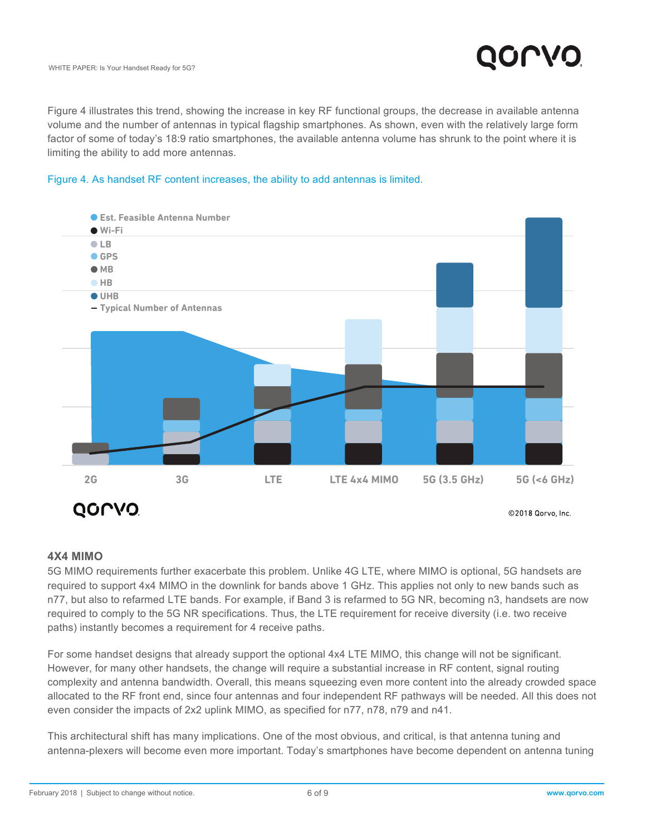Figure 4 illustrates this trend, showing the increase in key RF functional groups, the decrease in available antenna volume and the number of antennas in typical flagship smartphones. As shown, even with the relatively large form factor of some of today's 18:9 ratio smartphones, the available antenna volume has shrunk to the point where it is limiting the ability to add more antennas.





#### **4X4 MIMO**

5G MIMO requirements further exacerbate this problem. Unlike 4G LTE, where MIMO is optional, 5G handsets are required to support 4x4 MIMO in the downlink for bands above 1 GHz. This applies not only to new bands such as n77, but also to refarmed LTE bands. For example, if Band 3 is refarmed to 5G NR, becoming n3, handsets are now required to comply to the 5G NR specifications. Thus, the LTE requirement for receive diversity (i.e. two receive paths) instantly becomes a requirement for 4 receive paths.

For some handset designs that already support the optional 4x4 LTE MIMO, this change will not be significant. However, for many other handsets, the change will require a substantial increase in RF content, signal routing complexity and antenna bandwidth. Overall, this means squeezing even more content into the already crowded space allocated to the RF front end, since four antennas and four independent RF pathways will be needed. All this does not even consider the impacts of 2x2 uplink MIMO, as specified for n77, n78, n79 and n41.

This architectural shift has many implications. One of the most obvious, and critical, is that antenna tuning and antenna-plexers will become even more important. Today's smartphones have become dependent on antenna tuning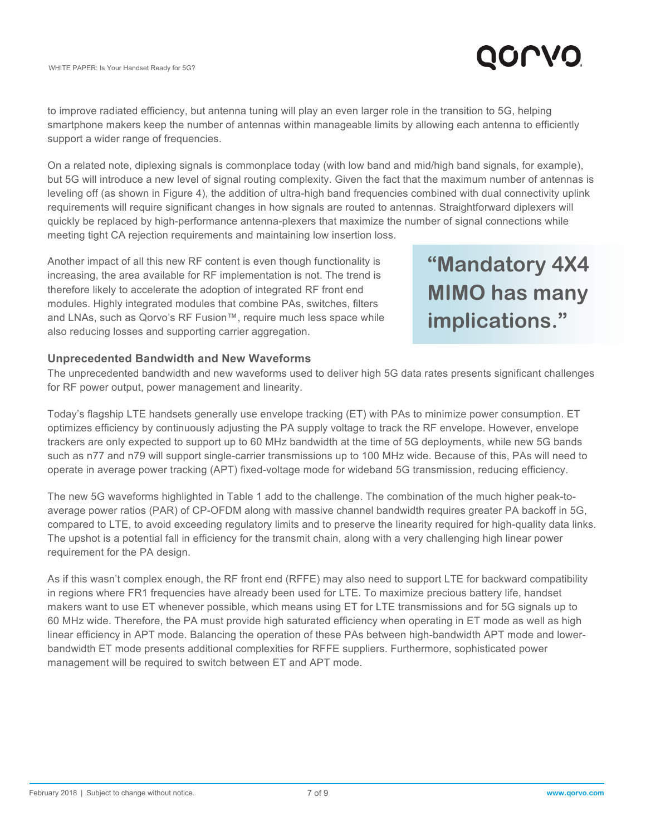

to improve radiated efficiency, but antenna tuning will play an even larger role in the transition to 5G, helping smartphone makers keep the number of antennas within manageable limits by allowing each antenna to efficiently support a wider range of frequencies.

On a related note, diplexing signals is commonplace today (with low band and mid/high band signals, for example), but 5G will introduce a new level of signal routing complexity. Given the fact that the maximum number of antennas is leveling off (as shown in Figure 4), the addition of ultra-high band frequencies combined with dual connectivity uplink requirements will require significant changes in how signals are routed to antennas. Straightforward diplexers will quickly be replaced by high-performance antenna-plexers that maximize the number of signal connections while meeting tight CA rejection requirements and maintaining low insertion loss.

Another impact of all this new RF content is even though functionality is increasing, the area available for RF implementation is not. The trend is therefore likely to accelerate the adoption of integrated RF front end modules. Highly integrated modules that combine PAs, switches, filters and LNAs, such as Qorvo's RF Fusion™, require much less space while also reducing losses and supporting carrier aggregation.

**"Mandatory 4X4 MIMO has many implications."**

### **Unprecedented Bandwidth and New Waveforms**

The unprecedented bandwidth and new waveforms used to deliver high 5G data rates presents significant challenges for RF power output, power management and linearity.

Today's flagship LTE handsets generally use envelope tracking (ET) with PAs to minimize power consumption. ET optimizes efficiency by continuously adjusting the PA supply voltage to track the RF envelope. However, envelope trackers are only expected to support up to 60 MHz bandwidth at the time of 5G deployments, while new 5G bands such as n77 and n79 will support single-carrier transmissions up to 100 MHz wide. Because of this, PAs will need to operate in average power tracking (APT) fixed-voltage mode for wideband 5G transmission, reducing efficiency.

The new 5G waveforms highlighted in Table 1 add to the challenge. The combination of the much higher peak-toaverage power ratios (PAR) of CP-OFDM along with massive channel bandwidth requires greater PA backoff in 5G, compared to LTE, to avoid exceeding regulatory limits and to preserve the linearity required for high-quality data links. The upshot is a potential fall in efficiency for the transmit chain, along with a very challenging high linear power requirement for the PA design.

As if this wasn't complex enough, the RF front end (RFFE) may also need to support LTE for backward compatibility in regions where FR1 frequencies have already been used for LTE. To maximize precious battery life, handset makers want to use ET whenever possible, which means using ET for LTE transmissions and for 5G signals up to 60 MHz wide. Therefore, the PA must provide high saturated efficiency when operating in ET mode as well as high linear efficiency in APT mode. Balancing the operation of these PAs between high-bandwidth APT mode and lowerbandwidth ET mode presents additional complexities for RFFE suppliers. Furthermore, sophisticated power management will be required to switch between ET and APT mode.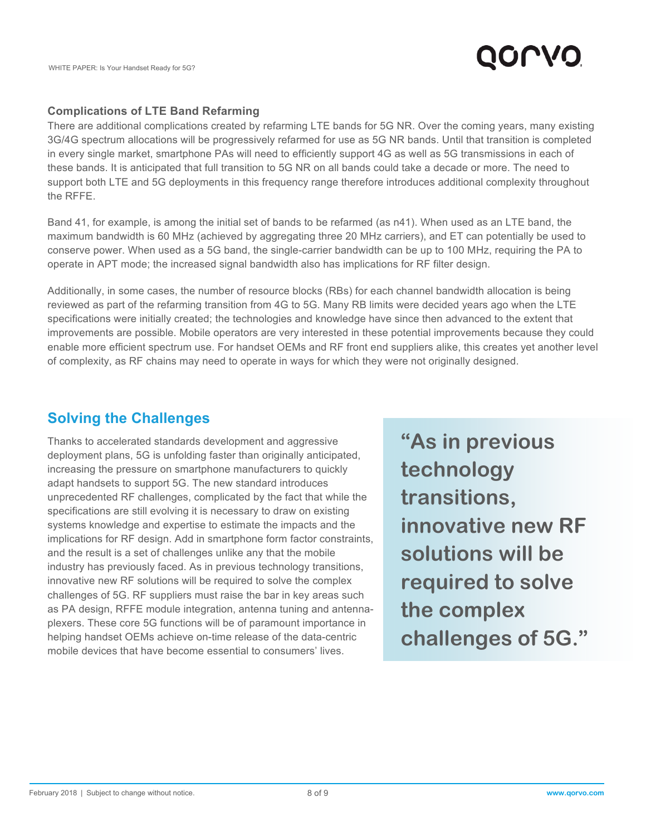

### **Complications of LTE Band Refarming**

There are additional complications created by refarming LTE bands for 5G NR. Over the coming years, many existing 3G/4G spectrum allocations will be progressively refarmed for use as 5G NR bands. Until that transition is completed in every single market, smartphone PAs will need to efficiently support 4G as well as 5G transmissions in each of these bands. It is anticipated that full transition to 5G NR on all bands could take a decade or more. The need to support both LTE and 5G deployments in this frequency range therefore introduces additional complexity throughout the RFFE.

Band 41, for example, is among the initial set of bands to be refarmed (as n41). When used as an LTE band, the maximum bandwidth is 60 MHz (achieved by aggregating three 20 MHz carriers), and ET can potentially be used to conserve power. When used as a 5G band, the single-carrier bandwidth can be up to 100 MHz, requiring the PA to operate in APT mode; the increased signal bandwidth also has implications for RF filter design.

Additionally, in some cases, the number of resource blocks (RBs) for each channel bandwidth allocation is being reviewed as part of the refarming transition from 4G to 5G. Many RB limits were decided years ago when the LTE specifications were initially created; the technologies and knowledge have since then advanced to the extent that improvements are possible. Mobile operators are very interested in these potential improvements because they could enable more efficient spectrum use. For handset OEMs and RF front end suppliers alike, this creates yet another level of complexity, as RF chains may need to operate in ways for which they were not originally designed.

# **Solving the Challenges**

Thanks to accelerated standards development and aggressive deployment plans, 5G is unfolding faster than originally anticipated, increasing the pressure on smartphone manufacturers to quickly adapt handsets to support 5G. The new standard introduces unprecedented RF challenges, complicated by the fact that while the specifications are still evolving it is necessary to draw on existing systems knowledge and expertise to estimate the impacts and the implications for RF design. Add in smartphone form factor constraints, and the result is a set of challenges unlike any that the mobile industry has previously faced. As in previous technology transitions, innovative new RF solutions will be required to solve the complex challenges of 5G. RF suppliers must raise the bar in key areas such as PA design, RFFE module integration, antenna tuning and antennaplexers. These core 5G functions will be of paramount importance in helping handset OEMs achieve on-time release of the data-centric mobile devices that have become essential to consumers' lives.

**"As in previous technology transitions, innovative new RF solutions will be required to solve the complex challenges of 5G."**